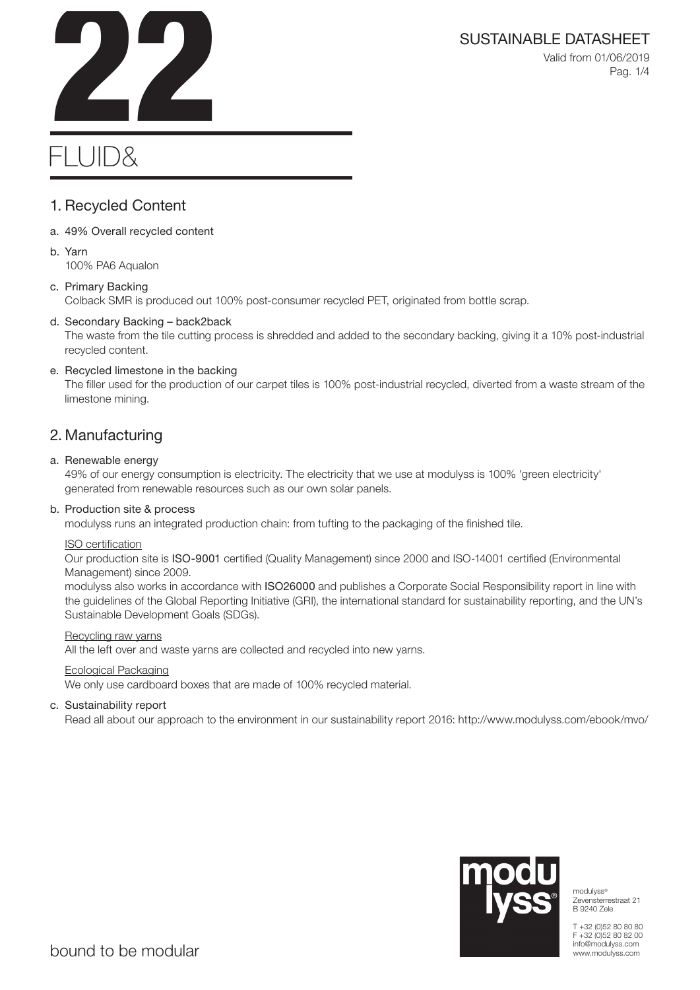

Valid from 01/06/2019 Pag. 1/4

# SUSTAINABLE DATASHEET<br>Valid from 01/06/2019<br>Pag. 1/4

# FLUID&

# 1. Recycled Content

- a. 49% Overall recycled content
- b. Yarn 100% PA6 Aqualon

# c. Primary Backing

Colback SMR is produced out 100% post-consumer recycled PET, originated from bottle scrap.

# d. Secondary Backing – back2back

The waste from the tile cutting process is shredded and added to the secondary backing, giving it a 10% post-industrial recycled content.

# e. Recycled limestone in the backing

The filler used for the production of our carpet tiles is 100% post-industrial recycled, diverted from a waste stream of the limestone mining.

# 2. Manufacturing

# a. Renewable energy

49% of our energy consumption is electricity. The electricity that we use at modulyss is 100% 'green electricity' generated from renewable resources such as our own solar panels.

# b. Production site & process

modulyss runs an integrated production chain: from tufting to the packaging of the finished tile.

# ISO certification

Our production site is ISO-9001 certified (Quality Management) since 2000 and ISO-14001 certified (Environmental Management) since 2009.

modulyss also works in accordance with ISO26000 and publishes a Corporate Social Responsibility report in line with the guidelines of the Global Reporting Initiative (GRI), the international standard for sustainability reporting, and the UN's Sustainable Development Goals (SDGs).

# Recycling raw yarns

All the left over and waste yarns are collected and recycled into new yarns.

# Ecological Packaging

We only use cardboard boxes that are made of 100% recycled material.

# c. Sustainability report

Read all about our approach to the environment in our sustainability report 2016: http://www.modulyss.com/ebook/mvo/



modulyss® Zevensterrestraat 21 B 9240 Zele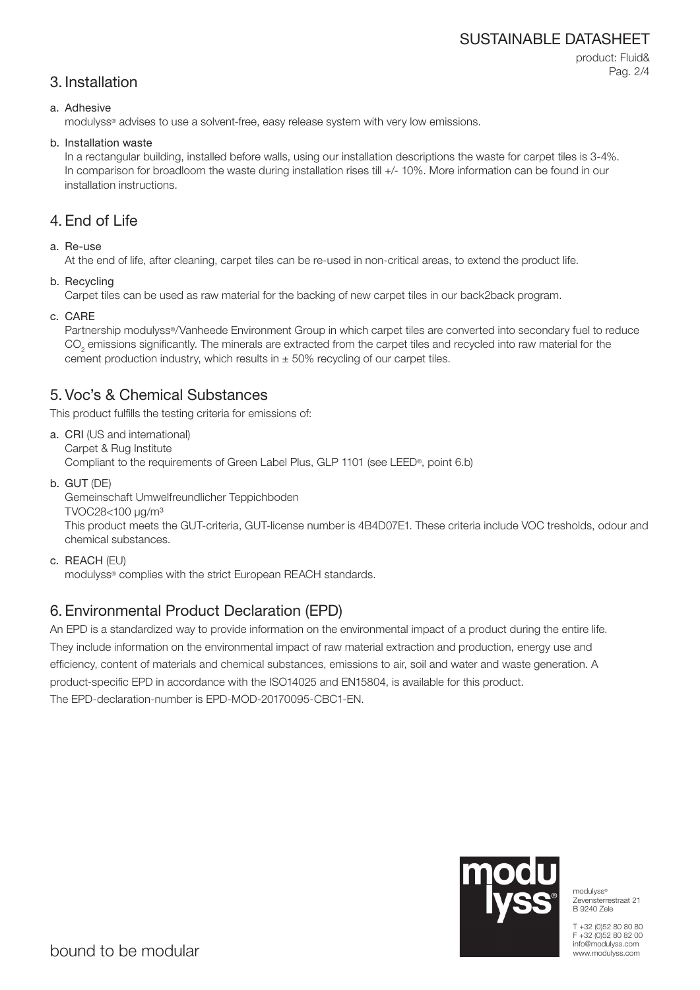# SUSTAINABLE DATASHEET

# 3. Installation

product: Fluid& Pag. 2/4

#### a. Adhesive

modulyss® advises to use a solvent-free, easy release system with very low emissions.

#### b. Installation waste

In a rectangular building, installed before walls, using our installation descriptions the waste for carpet tiles is 3-4%. In comparison for broadloom the waste during installation rises till  $+/-10\%$ . More information can be found in our installation instructions.

# 4. End of Life

# a. Re-use

At the end of life, after cleaning, carpet tiles can be re-used in non-critical areas, to extend the product life.

b. Recycling

Carpet tiles can be used as raw material for the backing of new carpet tiles in our back2back program.

c. CARE

Partnership modulyss®/Vanheede Environment Group in which carpet tiles are converted into secondary fuel to reduce  $\mathrm{CO}_2$  emissions significantly. The minerals are extracted from the carpet tiles and recycled into raw material for the cement production industry, which results in  $\pm$  50% recycling of our carpet tiles.

# 5. Voc's & Chemical Substances

This product fulfills the testing criteria for emissions of:

- a. CRI (US and international) Carpet & Rug Institute Compliant to the requirements of Green Label Plus, GLP 1101 (see LEED®, point 6.b)
- b. GUT (DE)

Gemeinschaft Umwelfreundlicher Teppichboden

TVOC28<100 μg/m³

This product meets the GUT-criteria, GUT-license number is 4B4D07E1. These criteria include VOC tresholds, odour and chemical substances.

c. REACH (EU)

modulyss® complies with the strict European REACH standards.

# 6. Environmental Product Declaration (EPD)

An EPD is a standardized way to provide information on the environmental impact of a product during the entire life. They include information on the environmental impact of raw material extraction and production, energy use and efficiency, content of materials and chemical substances, emissions to air, soil and water and waste generation. A product-specific EPD in accordance with the ISO14025 and EN15804, is available for this product. The EPD-declaration-number is EPD-MOD-20170095-CBC1-EN.



modulyss® Zevensterrestraat 21 B 9240 Zele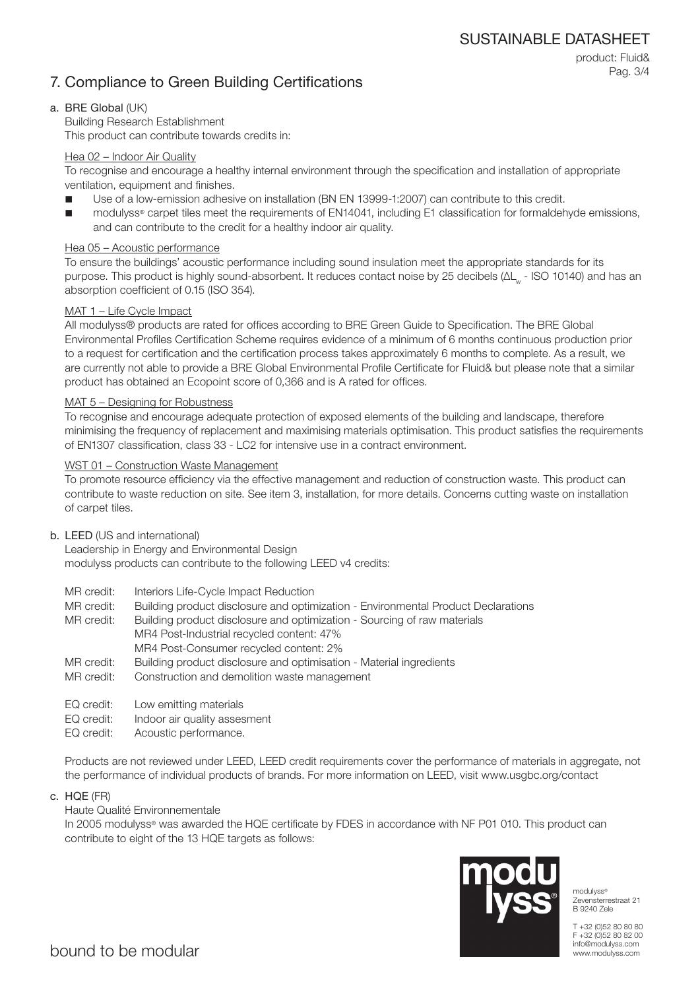# 7. Compliance to Green Building Certifications

# product: Fluid& Pag. 3/4

# a. BRE Global (UK)

Building Research Establishment This product can contribute towards credits in:

#### Hea 02 – Indoor Air Quality

To recognise and encourage a healthy internal environment through the specification and installation of appropriate ventilation, equipment and finishes.

- Use of a low-emission adhesive on installation (BN EN 13999-1:2007) can contribute to this credit.
- modulyss® carpet tiles meet the requirements of EN14041, including E1 classification for formaldehyde emissions, and can contribute to the credit for a healthy indoor air quality.

# Hea 05 – Acoustic performance

To ensure the buildings' acoustic performance including sound insulation meet the appropriate standards for its purpose. This product is highly sound-absorbent. It reduces contact noise by 25 decibels (ΔL<sub>w</sub> - ISO 10140) and has an absorption coefficient of 0.15 (ISO 354).

# MAT 1 – Life Cycle Impact

All modulyss® products are rated for offices according to BRE Green Guide to Specification. The BRE Global Environmental Profiles Certification Scheme requires evidence of a minimum of 6 months continuous production prior to a request for certification and the certification process takes approximately 6 months to complete. As a result, we are currently not able to provide a BRE Global Environmental Profile Certificate for Fluid& but please note that a similar product has obtained an Ecopoint score of 0,366 and is A rated for offices.

#### MAT 5 – Designing for Robustness

To recognise and encourage adequate protection of exposed elements of the building and landscape, therefore minimising the frequency of replacement and maximising materials optimisation. This product satisfies the requirements of EN1307 classification, class 33 - LC2 for intensive use in a contract environment.

#### WST 01 – Construction Waste Management

To promote resource efficiency via the effective management and reduction of construction waste. This product can contribute to waste reduction on site. See item 3, installation, for more details. Concerns cutting waste on installation of carpet tiles.

#### b. LEED (US and international)

Leadership in Energy and Environmental Design modulyss products can contribute to the following LEED v4 credits:

- MR credit: Interiors Life-Cycle Impact Reduction
- MR credit: Building product disclosure and optimization Environmental Product Declarations

MR credit: Building product disclosure and optimization - Sourcing of raw materials MR4 Post-Industrial recycled content: 47% MR4 Post-Consumer recycled content: 2%

- MR credit: Building product disclosure and optimisation Material ingredients
- MR credit: Construction and demolition waste management
- EQ credit: Low emitting materials
- EQ credit: Indoor air quality assesment
- EQ credit: Acoustic performance.

Products are not reviewed under LEED, LEED credit requirements cover the performance of materials in aggregate, not the performance of individual products of brands. For more information on LEED, visit www.usgbc.org/contact

c. HQE (FR)

#### Haute Qualité Environnementale

In 2005 modulyss® was awarded the HQE certificate by FDES in accordance with NF P01 010. This product can contribute to eight of the 13 HQE targets as follows:



modulyss<sup>®</sup> Zevensterrestraat 21 B 9240 Zele